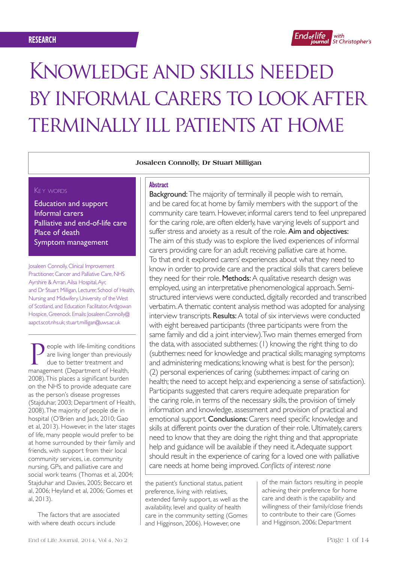

# Knowledge and skills needed by informal carers to look after terminally ill patients at home

#### **Josaleen Connolly, Dr Stuart Milligan**

## KEY WORDS

Education and support Informal carers Palliative and end-of-life care Place of death Symptom management

Josaleen Connolly, Clinical Improvement Practitioner, Cancer and Palliative Care, NHS Ayrshire & Arran, Ailsa Hospital, Ayr, and Dr Stuart Milligan, Lecturer, School of Health, Nursing and Midwifery, University of the West of Scotland, and Education Facilitator, Ardgowan Hospice, Greenock. Emails: Josaleen.Connolly@ aapct.scot.nhs.uk; stuart.milligan@uws.ac.uk

eople with life-limiting conditions are living longer than previously due to better treatment and management (Department of Health, 2008). This places a significant burden on the NHS to provide adequate care as the person's disease progresses (Stajduhar, 2003; Department of Health, 2008). The majority of people die in hospital (O'Brien and Jack, 2010; Gao et al, 2013). However, in the later stages of life, many people would prefer to be at home surrounded by their family and friends, with support from their local community services, i.e. community nursing, GPs, and palliative care and social work teams (Thomas et al, 2004; Stajduhar and Davies, 2005; Beccaro et al, 2006; Heyland et al, 2006; Gomes et al, 2013).

The factors that are associated with where death occurs include

## **Abstract**

Background: The majority of terminally ill people wish to remain, and be cared for, at home by family members with the support of the community care team. However, informal carers tend to feel unprepared for the caring role, are often elderly, have varying levels of support and suffer stress and anxiety as a result of the role. Aim and objectives: The aim of this study was to explore the lived experiences of informal carers providing care for an adult receiving palliative care at home. To that end it explored carers' experiences about what they need to know in order to provide care and the practical skills that carers believe they need for their role. Methods: A qualitative research design was employed, using an interpretative phenomenological approach. Semistructured interviews were conducted, digitally recorded and transcribed verbatim. A thematic content analysis method was adopted for analysing interview transcripts. Results: A total of six interviews were conducted with eight bereaved participants (three participants were from the same family and did a joint interview). Two main themes emerged from the data, with associated subthemes: (1) knowing the right thing to do (subthemes: need for knowledge and practical skills; managing symptoms and administering medications; knowing what is best for the person); (2) personal experiences of caring (subthemes: impact of caring on health; the need to accept help; and experiencing a sense of satisfaction). Participants suggested that carers require adequate preparation for the caring role, in terms of the necessary skills, the provision of timely information and knowledge, assessment and provision of practical and emotional support. Conclusions: Carers need specific knowledge and skills at different points over the duration of their role. Ultimately, carers need to know that they are doing the right thing and that appropriate help and guidance will be available if they need it. Adequate support should result in the experience of caring for a loved one with palliative care needs at home being improved. *Conflicts of interest: none*

the patient's functional status, patient preference, living with relatives, extended family support, as well as the availability, level and quality of health care in the community setting (Gomes and Higginson, 2006). However, one

of the main factors resulting in people achieving their preference for home care and death is the capability and willingness of their family/close friends to contribute to their care (Gomes and Higginson, 2006; Department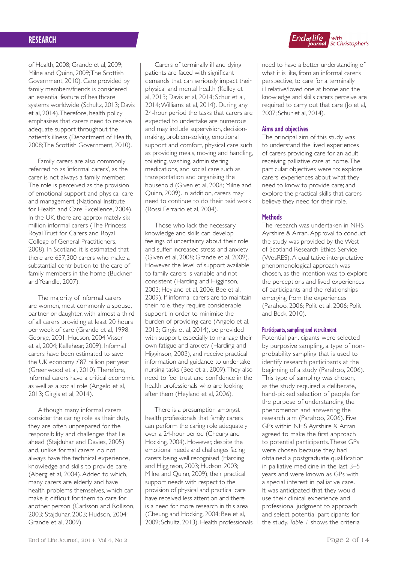of Health, 2008; Grande et al, 2009; Milne and Quinn, 2009; The Scottish Government, 2010). Care provided by family members/friends is considered an essential feature of healthcare systems worldwide (Schultz, 2013; Davis et al, 2014). Therefore, health policy emphasises that carers need to receive adequate support throughout the patient's illness (Department of Health, 2008; The Scottish Government, 2010).

Family carers are also commonly referred to as 'informal carers', as the carer is not always a family member. The role is perceived as the provision of emotional support and physical care and management (National Institute for Health and Care Excellence, 2004). In the UK, there are approximately six million informal carers (The Princess Royal Trust for Carers and Royal College of General Practitioners, 2008). In Scotland, it is estimated that there are 657,300 carers who make a substantial contribution to the care of family members in the home (Buckner and Yeandle, 2007).

The majority of informal carers are women, most commonly a spouse, partner or daughter, with almost a third of all carers providing at least 20 hours per week of care (Grande et al, 1998; George, 2001; Hudson, 2004; Visser et al, 2004; Kellehear, 2009). Informal carers have been estimated to save the UK economy £87 billion per year (Greenwood et al, 2010). Therefore, informal carers have a critical economic as well as a social role (Angelo et al, 2013; Girgis et al, 2014).

Although many informal carers consider the caring role as their duty, they are often unprepared for the responsibility and challenges that lie ahead (Stajduhar and Davies, 2005) and, unlike formal carers, do not always have the technical experience, knowledge and skills to provide care (Aberg et al, 2004). Added to which, many carers are elderly and have health problems themselves, which can make it difficult for them to care for another person (Carlsson and Rollison, 2003; Stajduhar, 2003; Hudson, 2004; Grande et al, 2009).

Carers of terminally ill and dying patients are faced with significant demands that can seriously impact their physical and mental health (Kelley et al, 2013; Davis et al, 2014; Schur et al, 2014; Williams et al, 2014). During any 24-hour period the tasks that carers are expected to undertake are numerous and may include supervision, decisionmaking, problem-solving, emotional support and comfort, physical care such as providing meals, moving and handling, toileting, washing, administering medications, and social care such as transportation and organising the household (Given et al, 2008; Milne and Quinn, 2009). In addition, carers may need to continue to do their paid work (Rossi Ferrario et al, 2004).

Those who lack the necessary knowledge and skills can develop feelings of uncertainty about their role and suffer increased stress and anxiety (Given et al, 2008; Grande et al, 2009). However, the level of support available to family carers is variable and not consistent (Harding and Higginson, 2003; Heyland et al, 2006; Bee et al, 2009). If informal carers are to maintain their role, they require considerable support in order to minimise the burden of providing care (Angelo et al, 2013; Girgis et al, 2014), be provided with support, especially to manage their own fatigue and anxiety (Harding and Higginson, 2003), and receive practical information and guidance to undertake nursing tasks (Bee et al, 2009). They also need to feel trust and confidence in the health professionals who are looking after them (Heyland et al, 2006).

There is a presumption amongst health professionals that family carers can perform the caring role adequately over a 24-hour period (Cheung and Hocking, 2004). However, despite the emotional needs and challenges facing carers being well recognised (Harding and Higginson, 2003; Hudson, 2003; Milne and Quinn, 2009), their practical support needs with respect to the provision of physical and practical care have received less attention and there is a need for more research in this area (Cheung and Hocking, 2004; Bee et al, 2009; Schultz, 2013). Health professionals



need to have a better understanding of what it is like, from an informal carer's perspective, to care for a terminally ill relative/loved one at home and the knowledge and skills carers perceive are required to carry out that care (Jo et al, 2007; Schur et al, 2014).

## **Aims and objectives**

The principal aim of this study was to understand the lived experiences of carers providing care for an adult receiving palliative care at home. The particular objectives were to: explore carers' experiences about what they need to know to provide care; and explore the practical skills that carers believe they need for their role.

## **Methods**

The research was undertaken in NHS Ayrshire & Arran. Approval to conduct the study was provided by the West of Scotland Research Ethics Service (WosRES). A qualitative interpretative phenomenological approach was chosen, as the intention was to explore the perceptions and lived experiences of participants and the relationships emerging from the experiences (Parahoo, 2006; Polit et al, 2006; Polit and Beck, 2010).

#### **Participants, sampling and recruitment**

Potential participants were selected by purposive sampling, a type of nonprobability sampling that is used to identify research participants at the beginning of a study (Parahoo, 2006). This type of sampling was chosen, as the study required a deliberate, hand-picked selection of people for the purpose of understanding the phenomenon and answering the research aim (Parahoo, 2006). Five GPs within NHS Ayrshire & Arran agreed to make the first approach to potential participants. These GPs were chosen because they had obtained a postgraduate qualification in palliative medicine in the last 3–5 years and were known as GPs with a special interest in palliative care. It was anticipated that they would use their clinical experience and professional judgment to approach and select potential participants for the study. *Table 1* shows the criteria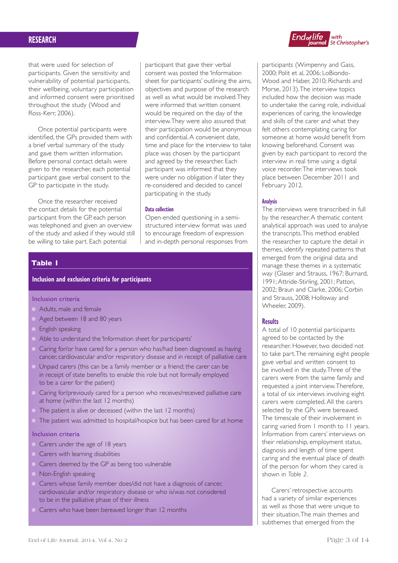that were used for selection of participants. Given the sensitivity and vulnerability of potential participants, their wellbeing, voluntary participation and informed consent were prioritised throughout the study (Wood and Ross-Kerr, 2006).

Once potential participants were identified, the GPs provided them with a brief verbal summary of the study and gave them written information. Before personal contact details were given to the researcher, each potential participant gave verbal consent to the GP to participate in the study.

Once the researcher received the contact details for the potential participant from the GP, each person was telephoned and given an overview of the study and asked if they would still be willing to take part. Each potential

participant that gave their verbal consent was posted the 'Information sheet for participants' outlining the aims, objectives and purpose of the research as well as what would be involved. They were informed that written consent would be required on the day of the interview. They were also assured that their participation would be anonymous and confidential. A convenient date, time and place for the interview to take place was chosen by the participant and agreed by the researcher. Each participant was informed that they were under no obligation if later they re-considered and decided to cancel participating in the study.

#### **Data collection**

Open-ended questioning in a semistructured interview format was used to encourage freedom of expression and in-depth personal responses from

## **Table 1**

## **Inclusion and exclusion criteria for participants**

## Inclusion criteria

- Adults, male and female
- Aged between 18 and 80 years
- English speaking
- Able to understand the 'Information sheet for participants'
- Caring for/or have cared for a person who has/had been diagnosed as having cancer, cardiovascular and/or respiratory disease and in receipt of palliative care
- Unpaid carers (this can be a family member or a friend; the carer can be in receipt of state benefits to enable this role but not formally employed to be a carer for the patient)
- Caring for/previously cared for a person who receives/received palliative care at home (within the last 12 months)
- The patient is alive or deceased (within the last 12 months)
- The patient was admitted to hospital/hospice but has been cared for at home

## Inclusion criteria

- Carers under the age of 18 years
- Carers with learning disabilities
- Carers deemed by the GP as being too vulnerable
- Non-English speaking
- Carers whose family member does/did not have a diagnosis of cancer, cardiovascular and/or respiratory disease or who is/was not considered to be in the palliative phase of their illness
- Carers who have been bereaved longer than 12 months



participants (Wimpenny and Gass, 2000; Polit et al, 2006; LoBiondo-Wood and Haber, 2010; Richards and Morse, 2013). The interview topics included how the decision was made to undertake the caring role, individual experiences of caring, the knowledge and skills of the carer and what they felt others contemplating caring for someone at home would benefit from knowing beforehand. Consent was given by each participant to record the interview in real time using a digital voice recorder. The interviews took place between December 2011 and February 2012.

#### **Analysis**

The interviews were transcribed in full by the researcher. A thematic content analytical approach was used to analyse the transcripts. This method enabled the researcher to capture the detail in themes, identify repeated patterns that emerged from the original data and manage these themes in a systematic way (Glaser and Strauss, 1967; Burnard, 1991; Attride-Stirling, 2001; Patton, 2002; Braun and Clarke, 2006; Corbin and Strauss, 2008; Holloway and Wheeler, 2009).

#### **Results**

A total of 10 potential participants agreed to be contacted by the researcher. However, two decided not to take part. The remaining eight people gave verbal and written consent to be involved in the study. Three of the carers were from the same family and requested a joint interview. Therefore, a total of six interviews involving eight carers were completed. All the carers selected by the GPs were bereaved. The timescale of their involvement in caring varied from 1 month to 11 years. Information from carers' interviews on their relationship, employment status, diagnosis and length of time spent caring and the eventual place of death of the person for whom they cared is shown in *Table 2*.

Carers' retrospective accounts had a variety of similar experiences as well as those that were unique to their situation. The main themes and subthemes that emerged from the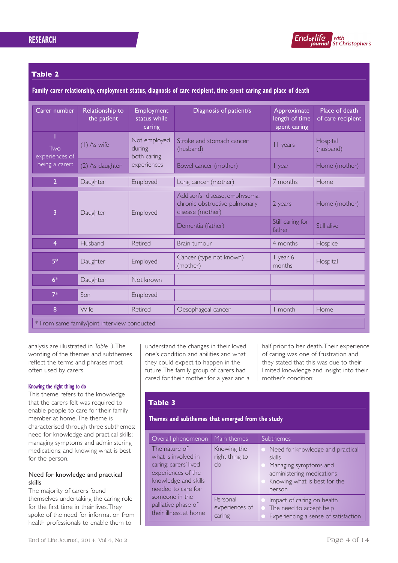

## **Table 2**

**Family carer relationship, employment status, diagnosis of care recipient, time spent caring and place of death**

| Carer number                                 | Relationship to<br>the patient                                                                           | <b>Employment</b><br>status while<br>caring | Diagnosis of patient/s                                                             | Approximate<br>length of time<br>spent caring | Place of death<br>of care recipient |  |
|----------------------------------------------|----------------------------------------------------------------------------------------------------------|---------------------------------------------|------------------------------------------------------------------------------------|-----------------------------------------------|-------------------------------------|--|
| Two                                          | Not employed<br>(1) As wife<br>during<br>experiences of<br>both caring<br>experiences<br>(2) As daughter | Stroke and stomach cancer<br>(husband)      | II years                                                                           | Hospital<br>(husband)                         |                                     |  |
| being a carer:                               |                                                                                                          |                                             | Bowel cancer (mother)                                                              | I year                                        | Home (mother)                       |  |
| $\overline{2}$                               | Daughter                                                                                                 | Employed                                    | Lung cancer (mother)                                                               | 7 months                                      | Home                                |  |
| 3                                            | Daughter                                                                                                 | Employed                                    | Addison's disease, emphysema,<br>chronic obstructive pulmonary<br>disease (mother) | 2 years                                       | Home (mother)                       |  |
|                                              |                                                                                                          |                                             | Dementia (father)                                                                  | Still caring for<br>father                    | Still alive                         |  |
| 4                                            | Husband                                                                                                  | Retired                                     | Brain tumour                                                                       | 4 months                                      | Hospice                             |  |
| $5*$                                         | Daughter                                                                                                 | Employed                                    | Cancer (type not known)<br>(mother)                                                | I year 6<br>months                            | Hospital                            |  |
| $6*$                                         | Daughter                                                                                                 | Not known                                   |                                                                                    |                                               |                                     |  |
| $7*$                                         | Son                                                                                                      | Employed                                    |                                                                                    |                                               |                                     |  |
| 8                                            | Wife                                                                                                     | Retired                                     | Oesophageal cancer                                                                 | I month                                       | Home                                |  |
| * From same family/joint interview conducted |                                                                                                          |                                             |                                                                                    |                                               |                                     |  |

analysis are illustrated in *Table 3*. The wording of the themes and subthemes reflect the terms and phrases most often used by carers.

#### **Knowing the right thing to do**

This theme refers to the knowledge that the carers felt was required to enable people to care for their family member at home. The theme is characterised through three subthemes: need for knowledge and practical skills; managing symptoms and administering medications; and knowing what is best for the person.

## Need for knowledge and practical skills

The majority of carers found themselves undertaking the caring role for the first time in their lives. They spoke of the need for information from health professionals to enable them to

understand the changes in their loved one's condition and abilities and what they could expect to happen in the future. The family group of carers had cared for their mother for a year and a half prior to her death. Their experience of caring was one of frustration and they stated that this was due to their limited knowledge and insight into their mother's condition:

## **Table 3**

## **Themes and subthemes that emerged from the study**

| Overall phenomenon                                                                                                                | Main themes                          | Subthemes                                                                                                                                  |
|-----------------------------------------------------------------------------------------------------------------------------------|--------------------------------------|--------------------------------------------------------------------------------------------------------------------------------------------|
| The nature of<br>what is involved in<br>caring: carers' lived<br>experiences of the<br>knowledge and skills<br>needed to care for | Knowing the<br>right thing to<br>do  | Need for knowledge and practical<br>skills<br>Managing symptoms and<br>administering medications<br>Knowing what is best for the<br>person |
| someone in the<br>palliative phase of<br>their illness, at home                                                                   | Personal<br>experiences of<br>caring | Impact of caring on health<br>The need to accept help<br>Experiencing a sense of satisfaction                                              |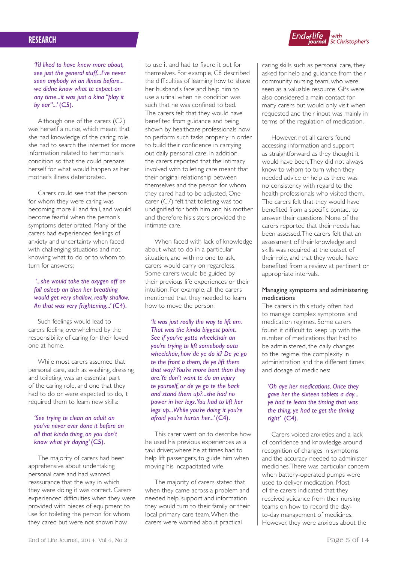

*'I'd liked to have knew more about, see just the general stuff...I've never seen anybody wi an illness before... we didne know what te expect an any time...it was just a kina "play it by ear"...'* (C5).

Although one of the carers (C2) was herself a nurse, which meant that she had knowledge of the caring role, she had to search the internet for more information related to her mother's condition so that she could prepare herself for what would happen as her mother's illness deteriorated.

Carers could see that the person for whom they were caring was becoming more ill and frail, and would become fearful when the person's symptoms deteriorated. Many of the carers had experienced feelings of anxiety and uncertainty when faced with challenging situations and not knowing what to do or to whom to turn for answers:

## *'...she would take the oxygen off an fall asleep an then her breathing would get very shallow, really shallow. An that was very frightening...'* (C4).

Such feelings would lead to carers feeling overwhelmed by the responsibility of caring for their loved one at home.

While most carers assumed that personal care, such as washing, dressing and toileting, was an essential part of the caring role, and one that they had to do or were expected to do, it required them to learn new skills:

## *'See trying te clean an adult an you've never ever done it before an all that kinda thing, an you don't know what yir daying'* (C5).

The majority of carers had been apprehensive about undertaking personal care and had wanted reassurance that the way in which they were doing it was correct. Carers experienced difficulties when they were provided with pieces of equipment to use for toileting the person for whom they cared but were not shown how

to use it and had to figure it out for themselves. For example, C8 described the difficulties of learning how to shave her husband's face and help him to use a urinal when his condition was such that he was confined to bed. The carers felt that they would have benefited from guidance and being shown by healthcare professionals how to perform such tasks properly in order to build their confidence in carrying out daily personal care. In addition, the carers reported that the intimacy involved with toileting care meant that their original relationship between themselves and the person for whom they cared had to be adjusted. One carer (C7) felt that toileting was too undignified for both him and his mother and therefore his sisters provided the intimate care.

When faced with lack of knowledge about what to do in a particular situation, and with no one to ask, carers would carry on regardless. Some carers would be guided by their previous life experiences or their intuition. For example, all the carers mentioned that they needed to learn how to move the person:

*'It was just really the way te lift em. That was the kinda biggest point. See if you've gotta wheelchair an you're trying te lift somebody outa wheelchair, how de ye do it? De ye go te the front o them, de ye lift them that way? You're more bent than they are. Ye don't want te do an injury te yourself, or de ye go te the back and stand them up?...she had no power in her legs. You had to lift her legs up...While you're doing it you're afraid you're hurtin her...'* (C4).

This carer went on to describe how he used his previous experiences as a taxi driver, where he at times had to help lift passengers, to guide him when moving his incapacitated wife.

The majority of carers stated that when they came across a problem and needed help, support and information they would turn to their family or their local primary care team. When the carers were worried about practical

caring skills such as personal care, they asked for help and guidance from their community nursing team, who were seen as a valuable resource. GPs were also considered a main contact for many carers but would only visit when requested and their input was mainly in terms of the regulation of medication.

However, not all carers found accessing information and support as straightforward as they thought it would have been. They did not always know to whom to turn when they needed advice or help as there was no consistency with regard to the health professionals who visited them. The carers felt that they would have benefited from a specific contact to answer their questions. None of the carers reported that their needs had been assessed. The carers felt that an assessment of their knowledge and skills was required at the outset of their role, and that they would have benefited from a review at pertinent or appropriate intervals.

## Managing symptoms and administering medications

The carers in this study often had to manage complex symptoms and medication regimes. Some carers found it difficult to keep up with the number of medications that had to be administered, the daily changes to the regime, the complexity in administration and the different times and dosage of medicines:

## *'Oh aye her medications. Once they gave her the sixteen tablets a day... ye had te learn the timing that was the thing, ye had te get the timing right'* (C4).

Carers voiced anxieties and a lack of confidence and knowledge around recognition of changes in symptoms and the accuracy needed to administer medicines. There was particular concern when battery-operated pumps were used to deliver medication. Most of the carers indicated that they received guidance from their nursing teams on how to record the dayto-day management of medicines. However, they were anxious about the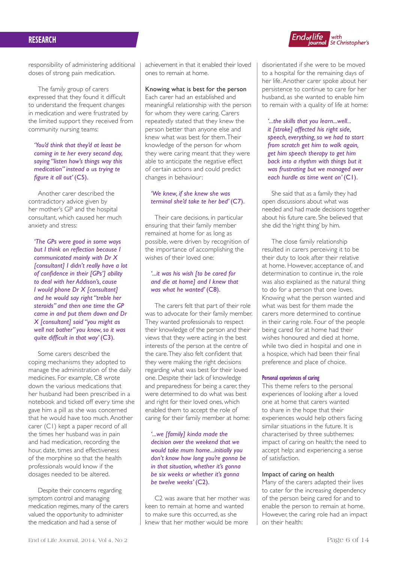

responsibility of administering additional doses of strong pain medication.

The family group of carers expressed that they found it difficult to understand the frequent changes in medication and were frustrated by the limited support they received from community nursing teams:

*'You'd think that they'd at least be coming in te her every second day, saying "listen how's things way this medication" instead o us trying te figure it all out'* (C5).

Another carer described the contradictory advice given by her mother's GP and the hospital consultant, which caused her much anxiety and stress:

*'The GPs were good in some ways but I think on reflection because I communicated mainly with Dr X [consultant] I didn't really have a lot of confidence in their [GPs'] ability to deal with her Addison's, cause I would phone Dr X [consultant] and he would say right "treble her steroids" and then one time the GP came in and put them down and Dr X [consultant] said "you might as well not bother" you know, so it was quite difficult in that way' (C3).* 

Some carers described the coping mechanisms they adopted to manage the administration of the daily medicines. For example, C8 wrote down the various medications that her husband had been prescribed in a notebook and ticked off every time she gave him a pill as she was concerned that he would have too much. Another carer (C1) kept a paper record of all the times her husband was in pain and had medication, recording the hour, date, times and effectiveness of the morphine so that the health professionals would know if the dosages needed to be altered.

Despite their concerns regarding symptom control and managing medication regimes, many of the carers valued the opportunity to administer the medication and had a sense of

achievement in that it enabled their loved ones to remain at home.

## Knowing what is best for the person

Each carer had an established and meaningful relationship with the person for whom they were caring. Carers repeatedly stated that they knew the person better than anyone else and knew what was best for them. Their knowledge of the person for whom they were caring meant that they were able to anticipate the negative effect of certain actions and could predict changes in behaviour:

## *'We knew, if she knew she was terminal she'd take te her bed'* (C7).

Their care decisions, in particular ensuring that their family member remained at home for as long as possible, were driven by recognition of the importance of accomplishing the wishes of their loved one:

## *'...it was his wish [to be cared for and die at home] and I knew that*  was what he wanted' (C8).

The carers felt that part of their role was to advocate for their family member. They wanted professionals to respect their knowledge of the person and their views that they were acting in the best interests of the person at the centre of the care. They also felt confident that they were making the right decisions regarding what was best for their loved one. Despite their lack of knowledge and preparedness for being a carer, they were determined to do what was best and right for their loved ones, which enabled them to accept the role of caring for their family member at home:

*'...we [family] kinda made the decision over the weekend that we would take mum home...initially you don't know how long you're gonna be in that situation, whether it's gonna be six weeks or whether it's gonna*  be twelve weeks' (C<sub>2</sub>).

C2 was aware that her mother was keen to remain at home and wanted to make sure this occurred, as she knew that her mother would be more

disorientated if she were to be moved to a hospital for the remaining days of her life. Another carer spoke about her persistence to continue to care for her husband, as she wanted to enable him to remain with a quality of life at home:

*'...the skills that you learn...well... it [stroke] affected his right side, speech, everything, so we had to start from scratch get him to walk again, get him speech therapy to get him back into a rhythm with things but it was frustrating but we managed over each hurdle as time went on'* (C1).

She said that as a family they had open discussions about what was needed and had made decisions together about his future care. She believed that she did the 'right thing' by him.

The close family relationship resulted in carers perceiving it to be their duty to look after their relative at home. However, acceptance of, and determination to continue in, the role was also explained as the natural thing to do for a person that one loves. Knowing what the person wanted and what was best for them made the carers more determined to continue in their caring role. Four of the people being cared for at home had their wishes honoured and died at home, while two died in hospital and one in a hospice, which had been their final preference and place of choice.

#### **Personal experiences of caring**

This theme refers to the personal experiences of looking after a loved one at home that carers wanted to share in the hope that their experiences would help others facing similar situations in the future. It is characterised by three subthemes: impact of caring on health; the need to accept help; and experiencing a sense of satisfaction.

#### Impact of caring on health

Many of the carers adapted their lives to cater for the increasing dependency of the person being cared for and to enable the person to remain at home. However, the caring role had an impact on their health: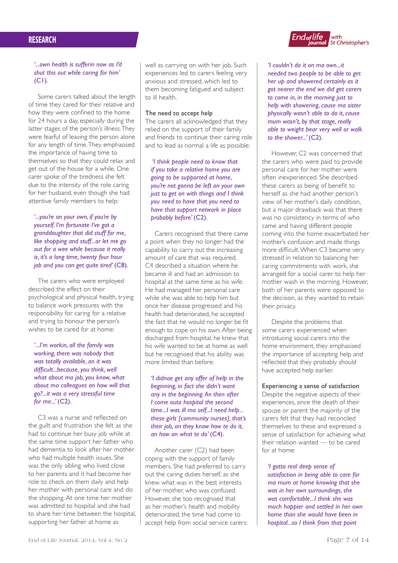

*'...own health is sufferin now as I'd shut this out while caring for him'*   $(C<sub>1</sub>)$ .

Some carers talked about the length of time they cared for their relative and how they were confined to the home for 24 hours a day, especially during the latter stages of the person's illness. They were fearful of leaving the person alone for any length of time. They emphasised the importance of having time to themselves so that they could relax and get out of the house for a while. One carer spoke of the tiredness she felt due to the intensity of the role caring for her husband, even though she had attentive family members to help:

*'...you're on your own, if you're by yourself. I'm fortunate I've got a granddaughter that did stuff for me, like shopping and stuff...or let me go out for a wee while because it really is, it's a long time, twenty four hour job and you can get quite tired'* (C8).

The carers who were employed described the effect on their psychological and physical health, trying to balance work pressures with the responsibility for caring for a relative and trying to honour the person's wishes to be cared for at home:

*'...I'm workin, all the family was working, there was nobody that was totally available, an it was difficult...because, you think, well what about ma job, you know, what about ma colleagues an how will that go?...it was a very stressful time for me...'* (C2).

C3 was a nurse and reflected on the guilt and frustration she felt as she had to continue her busy job while at the same time support her father who had dementia to look after her mother who had multiple health issues. She was the only sibling who lived close to her parents and it had become her role to check on them daily and help her mother with personal care and do the shopping. At one time her mother was admitted to hospital and she had to share her time between the hospital, supporting her father at home as

well as carrying on with her job. Such experiences led to carers feeling very anxious and stressed, which led to them becoming fatigued and subject to ill health.

## The need to accept help

The carers all acknowledged that they relied on the support of their family and friends to continue their caring role and to lead as normal a life as possible:

 *'I think people need to know that if you take a relative home you are going to be supported at home, you're not gonna be left on your own just to get on with things and I think you need to have that you need to have that support network in place probably before'* (C2).

Carers recognised that there came a point when they no longer had the capability to carry out the increasing amount of care that was required. C4 described a situation where he became ill and had an admission to hospital at the same time as his wife. He had managed her personal care while she was able to help him but once her disease progressed and his health had deteriorated, he accepted the fact that he would no longer be fit enough to cope on his own. After being discharged from hospital, he knew that his wife wanted to be at home as well but he recognised that his ability was more limited than before:

*'I didnae get any offer of help in the beginning, in fact she didn't want any in the beginning. An then after I come outa hospital the second time...I was ill ma self...I need help... these girls [community nurses], that's their job, an they know how te do it,*  an how an what te do' (C4).

Another carer (C2) had been coping with the support of family members. She had preferred to carry out the caring duties herself, as she knew what was in the best interests of her mother, who was confused. However, she too recognised that as her mother's health and mobility deteriorated, the time had come to accept help from social service carers: *'I couldn't do it on ma own...it needed two people to be able to get her up and showered certainly as it got nearer the end we did get carers to come in, in the morning just to help with showering, cause ma sister physically wasn't able to do it, cause mum wasn't, by that stage, really able to weight bear very well or walk to the shower...'* (C2).

However, C2 was concerned that the carers who were paid to provide personal care for her mother were often inexperienced. She described these carers as being of benefit to herself as she had another person's view of her mother's daily condition, but a major drawback was that there was no consistency in terms of who came and having different people coming into the home exacerbated her mother's confusion and made things more difficult. When C3 became very stressed in relation to balancing her caring commitments with work, she arranged for a social carer to help her mother wash in the morning. However, both of her parents were opposed to the decision, as they wanted to retain their privacy.

Despite the problems that some carers experienced when introducing social carers into the home environment, they emphasised the importance of accepting help and reflected that they probably should have accepted help earlier.

#### Experiencing a sense of satisfaction

Despite the negative aspects of their experiences, since the death of their spouse or parent the majority of the carers felt that they had reconciled themselves to these and expressed a sense of satisfaction for achieving what their relation wanted — to be cared for at home:

*'I gotta real deep sense of* 

*satisfaction in being able to care for ma mum at home knowing that she was in her own surroundings, she was comfortable...I think she was much happier and settled in her own home than she would have been in hospital...so I think from that point*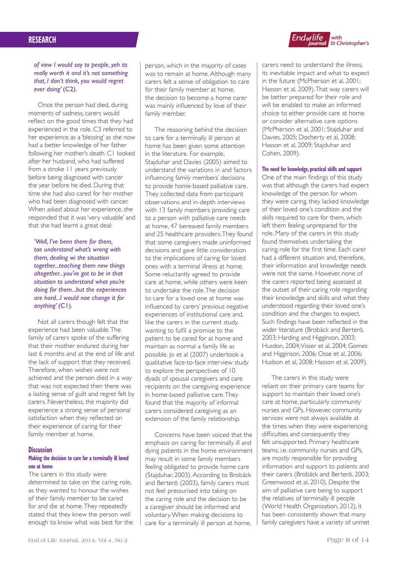*of view I would say to people, yeh its really worth it and it's not something that, I don't think, you would regret*  ever doing' (C2).

Once the person had died, during moments of sadness, carers would reflect on the good times that they had experienced in the role. C3 referred to her experience as a 'blessing' as she now had a better knowledge of her father following her mother's death. C1 looked after her husband, who had suffered from a stroke 11 years previously before being diagnosed with cancer the year before he died. During that time she had also cared for her mother who had been diagnosed with cancer. When asked about her experience, she responded that it was 'very valuable' and that she had learnt a great deal:

*'Well, I've been there for them, tae understand what's wrong with them, dealing wi the situation together...teaching them new things altogether...you've got to be in that situation to understand what you're doing for them...but the experiences are hard...I would nae change it for anything'* (C1).

Not all carers though felt that the experience had been valuable. The family of carers spoke of the suffering that their mother endured during her last 6 months and at the end of life and the lack of support that they received. Therefore, when wishes were not achieved and the person died in a way that was not expected then there was a lasting sense of guilt and regret felt by carers. Nevertheless, the majority did experience a strong sense of personal satisfaction when they reflected on their experience of caring for their family member at home.

#### **Discussion**

#### **Making the decision to care for a terminally ill loved one at home**

The carers in this study were determined to take on the caring role, as they wanted to honour the wishes of their family member to be cared for and die at home. They repeatedly stated that they knew the person well enough to know what was best for the

person, which in the majority of cases was to remain at home. Although many carers felt a sense of obligation to care for their family member at home, the decision to become a home carer was mainly influenced by love of their family member.

The reasoning behind the decision to care for a terminally ill person at home has been given some attention in the literature. For example, Stajduhar and Davies (2005) aimed to understand the variations in and factors influencing family members' decisions to provide home-based palliative care. They collected data from participant observations and in-depth interviews with 13 family members providing care to a person with palliative care needs at home, 47 bereaved family members and 25 healthcare providers. They found that some caregivers made uninformed decisions and gave little consideration to the implications of caring for loved ones with a terminal illness at home. Some reluctantly agreed to provide care at home, while others were keen to undertake the role. The decision to care for a loved one at home was influenced by carers' previous negative experiences of institutional care and, like the carers in the current study, wanting to fulfil a promise to the patient to be cared for at home and maintain as normal a family life as possible. Jo et al (2007) undertook a qualitative face-to-face interview study to explore the perspectives of 10 dyads of spousal caregivers and care recipients on the caregiving experience in home-based palliative care. They found that the majority of informal carers considered caregiving as an extension of the family relationship.

Concerns have been voiced that the emphasis on caring for terminally ill and dying patients in the home environment may result in some family members feeling obligated to provide home care (Stajduhar, 2003). According to Brobäck and Berterö (2003), family carers must not feel pressurised into taking on the caring role and the decision to be a caregiver should be informed and voluntary. When making decisions to care for a terminally ill person at home,



carers need to understand the illness, its inevitable impact and what to expect in the future (McPherson et al, 2001; Hasson et al, 2009). That way carers will be better prepared for their role and will be enabled to make an informed choice to either provide care at home or consider alternative care options (McPherson et al, 2001; Stajduhar and Davies, 2005; Docherty et al, 2008; Hasson et al, 2009; Stajduhar and Cohen, 2009).

#### **The need for knowledge, practical skills and support**

One of the main findings of this study was that although the carers had expert knowledge of the person for whom they were caring, they lacked knowledge of their loved one's condition and the skills required to care for them, which left them feeling unprepared for the role. Many of the carers in this study found themselves undertaking the caring role for the first time. Each carer had a different situation and, therefore, their information and knowledge needs were not the same. However, none of the carers reported being assessed at the outset of their caring role regarding their knowledge and skills and what they understood regarding their loved one's condition and the changes to expect. Such findings have been reflected in the wider literature (Brobäck and Berterö, 2003; Harding and Higginson, 2003; Husdon, 2004; Visser et al, 2004; Gomes and Higginson, 2006; Osse et al, 2006; Hudson et al, 2008; Hasson et al, 2009).

The carers in this study were reliant on their primary care teams for support to maintain their loved one's care at home, particularly community nurses and GPs. However, community services were not always available at the times when they were experiencing difficulties and consequently they felt unsupported. Primary healthcare teams, i.e. community nurses and GPs, are mostly responsible for providing information and support to patients and their carers (Brobäck and Berterö, 2003; Greenwood et al, 2010). Despite the aim of palliative care being to support the relatives of terminally ill people (World Health Organization, 2012), it has been consistently shown that many family caregivers have a variety of unmet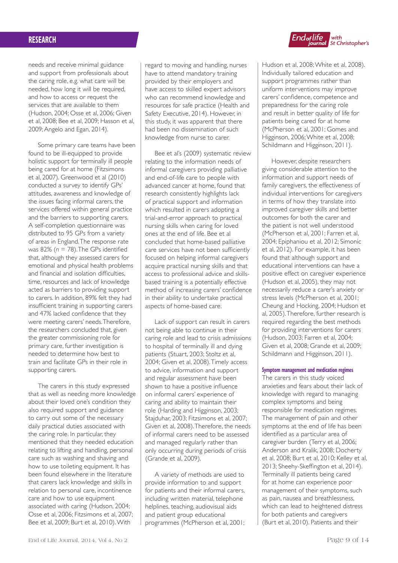needs and receive minimal guidance and support from professionals about the caring role, e.g. what care will be needed, how long it will be required, and how to access or request the services that are available to them (Hudson, 2004; Osse et al, 2006; Given et al, 2008; Bee et al, 2009; Hasson et al, 2009; Angelo and Egan, 2014).

Some primary care teams have been found to be ill-equipped to provide holistic support for terminally ill people being cared for at home (Fitzsimons et al, 2007). Greenwood et al (2010) conducted a survey to identify GPs' attitudes, awareness and knowledge of the issues facing informal carers, the services offered within general practice and the barriers to supporting carers. A self-completion questionnaire was distributed to 95 GPs from a variety of areas in England. The response rate was 82% (*n* = 78). The GPs identified that, although they assessed carers for emotional and physical health problems and financial and isolation difficulties, time, resources and lack of knowledge acted as barriers to providing support to carers. In addition, 89% felt they had insufficient training in supporting carers and 47% lacked confidence that they were meeting carers' needs. Therefore, the researchers concluded that, given the greater commissioning role for primary care, further investigation is needed to determine how best to train and facilitate GPs in their role in supporting carers.

The carers in this study expressed that as well as needing more knowledge about their loved one's condition they also required support and guidance to carry out some of the necessary daily practical duties associated with the caring role. In particular, they mentioned that they needed education relating to lifting and handling, personal care such as washing and shaving and how to use toileting equipment. It has been found elsewhere in the literature that carers lack knowledge and skills in relation to personal care, incontinence care and how to use equipment associated with caring (Hudson, 2004; Osse et al, 2006; Fitzsimons et al, 2007; Bee et al, 2009; Burt et al, 2010). With

regard to moving and handling, nurses have to attend mandatory training provided by their employers and have access to skilled expert advisors who can recommend knowledge and resources for safe practice (Health and Safety Executive, 2014). However, in this study, it was apparent that there had been no dissemination of such knowledge from nurse to carer.

Bee et al's (2009) systematic review relating to the information needs of informal caregivers providing palliative and end-of-life care to people with advanced cancer at home, found that research consistently highlights lack of practical support and information which resulted in carers adopting a trial-and-error approach to practical nursing skills when caring for loved ones at the end of life. Bee et al concluded that home-based palliative care services have not been sufficiently focused on helping informal caregivers acquire practical nursing skills and that access to professional advice and skillsbased training is a potentially effective method of increasing carers' confidence in their ability to undertake practical aspects of home-based care.

Lack of support can result in carers not being able to continue in their caring role and lead to crisis admissions to hospital of terminally ill and dying patients (Stuart, 2003; Stoltz et al, 2004; Given et al, 2008). Timely access to advice, information and support and regular assessment have been shown to have a positive influence on informal carers' experience of caring and ability to maintain their role (Harding and Higginson, 2003; Stajduhar, 2003; Fitzsimons et al, 2007; Given et al, 2008). Therefore, the needs of informal carers need to be assessed and managed regularly rather than only occurring during periods of crisis (Grande et al, 2009).

A variety of methods are used to provide information to and support for patients and their informal carers, including written material, telephone helplines, teaching, audiovisual aids and patient group educational programmes (McPherson et al, 2001;



Hudson et al, 2008; White et al, 2008). Individually tailored education and support programmes rather than uniform interventions may improve carers' confidence, competence and preparedness for the caring role and result in better quality of life for patients being cared for at home (McPherson et al, 2001; Gomes and Higginson, 2006; White et al, 2008; Schildmann and Higginson, 2011).

However, despite researchers giving considerable attention to the information and support needs of family caregivers, the effectiveness of individual interventions for caregivers in terms of how they translate into improved caregiver skills and better outcomes for both the carer and the patient is not well understood (McPherson et al, 2001; Farren et al, 2004; Epiphaniou et al, 2012; Simonic et al, 2012). For example, it has been found that although support and educational interventions can have a positive effect on caregiver experience (Hudson et al, 2005), they may not necessarily reduce a carer's anxiety or stress levels (McPherson et al, 2001; Cheung and Hocking, 2004; Hudson et al, 2005). Therefore, further research is required regarding the best methods for providing interventions for carers (Hudson, 2003; Farren et al, 2004; Given et al, 2008; Grande et al, 2009; Schildmann and Higginson, 2011).

#### **Symptom management and medication regimes**

The carers in this study voiced anxieties and fears about their lack of knowledge with regard to managing complex symptoms and being responsible for medication regimes. The management of pain and other symptoms at the end of life has been identified as a particular area of caregiver burden (Terry et al, 2006; Anderson and Kralik, 2008; Docherty et al, 2008; Burt et al, 2010; Kelley et al, 2013; Sheehy-Skeffington et al, 2014). Terminally ill patients being cared for at home can experience poor management of their symptoms, such as pain, nausea and breathlessness, which can lead to heightened distress for both patients and caregivers (Burt et al, 2010). Patients and their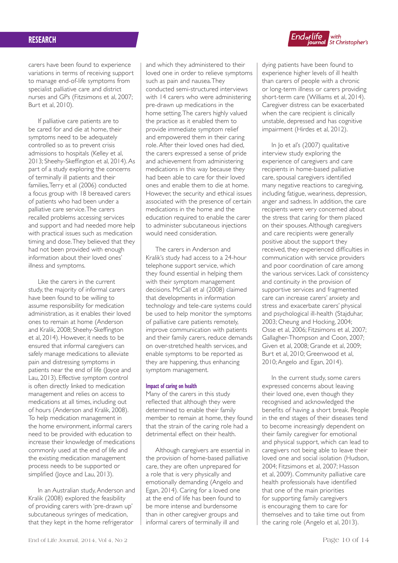carers have been found to experience variations in terms of receiving support to manage end-of-life symptoms from specialist palliative care and district nurses and GPs (Fitzsimons et al, 2007; Burt et al, 2010).

If palliative care patients are to be cared for and die at home, their symptoms need to be adequately controlled so as to prevent crisis admissions to hospitals (Kelley et al, 2013; Sheehy-Skeffington et al, 2014). As part of a study exploring the concerns of terminally ill patients and their families, Terry et al (2006) conducted a focus group with 18 bereaved carers of patients who had been under a palliative care service. The carers recalled problems accessing services and support and had needed more help with practical issues such as medication timing and dose. They believed that they had not been provided with enough information about their loved ones' illness and symptoms.

Like the carers in the current study, the majority of informal carers have been found to be willing to assume responsibility for medication administration, as it enables their loved ones to remain at home (Anderson and Kralik, 2008; Sheehy-Skeffington et al, 2014). However, it needs to be ensured that informal caregivers can safely manage medications to alleviate pain and distressing symptoms in patients near the end of life (Joyce and Lau, 2013). Effective symptom control is often directly linked to medication management and relies on access to medications at all times, including out of hours (Anderson and Kralik, 2008). To help medication management in the home environment, informal carers need to be provided with education to increase their knowledge of medications commonly used at the end of life and the existing medication management process needs to be supported or simplified (Joyce and Lau, 2013).

In an Australian study, Anderson and Kralik (2008) explored the feasibility of providing carers with 'pre-drawn up' subcutaneous syringes of medication, that they kept in the home refrigerator

and which they administered to their loved one in order to relieve symptoms such as pain and nausea. They conducted semi-structured interviews with 14 carers who were administering pre-drawn up medications in the home setting. The carers highly valued the practice as it enabled them to provide immediate symptom relief and empowered them in their caring role. After their loved ones had died, the carers expressed a sense of pride and achievement from administering medications in this way because they had been able to care for their loved ones and enable them to die at home. However, the security and ethical issues associated with the presence of certain medications in the home and the education required to enable the carer to administer subcutaneous injections would need consideration.

The carers in Anderson and Kralik's study had access to a 24-hour telephone support service, which they found essential in helping them with their symptom management decisions. McCall et al (2008) claimed that developments in information technology and tele-care systems could be used to help monitor the symptoms of palliative care patients remotely, improve communication with patients and their family carers, reduce demands on over-stretched health services, and enable symptoms to be reported as they are happening, thus enhancing symptom management.

#### **Impact of caring on health**

Many of the carers in this study reflected that although they were determined to enable their family member to remain at home, they found that the strain of the caring role had a detrimental effect on their health.

Although caregivers are essential in the provision of home-based palliative care, they are often unprepared for a role that is very physically and emotionally demanding (Angelo and Egan, 2014). Caring for a loved one at the end of life has been found to be more intense and burdensome than in other caregiver groups and informal carers of terminally ill and



dying patients have been found to experience higher levels of ill health than carers of people with a chronic or long-term illness or carers providing short-term care (Williams et al, 2014). Caregiver distress can be exacerbated when the care recipient is clinically unstable, depressed and has cognitive impairment (Hirdes et al, 2012).

In Jo et al's (2007) qualitative interview study exploring the experience of caregivers and care recipients in home-based palliative care, spousal caregivers identified many negative reactions to caregiving, including fatigue, weariness, depression, anger and sadness. In addition, the care recipients were very concerned about the stress that caring for them placed on their spouses. Although caregivers and care recipients were generally positive about the support they received, they experienced difficulties in communication with service providers and poor coordination of care among the various services. Lack of consistency and continuity in the provision of supportive services and fragmented care can increase carers' anxiety and stress and exacerbate carers' physical and psychological ill-health (Stajduhar, 2003; Cheung and Hocking, 2004; Osse et al, 2006; Fitzsimons et al, 2007; Gallagher-Thompson and Coon, 2007; Given et al, 2008; Grande et al, 2009; Burt et al, 2010; Greenwood et al, 2010; Angelo and Egan, 2014).

In the current study, some carers expressed concerns about leaving their loved one, even though they recognised and acknowledged the benefits of having a short break. People in the end stages of their diseases tend to become increasingly dependent on their family caregiver for emotional and physical support, which can lead to caregivers not being able to leave their loved one and social isolation (Hudson, 2004; Fitzsimons et al, 2007; Hasson et al, 2009). Community palliative care health professionals have identified that one of the main priorities for supporting family caregivers is encouraging them to care for themselves and to take time out from the caring role (Angelo et al, 2013).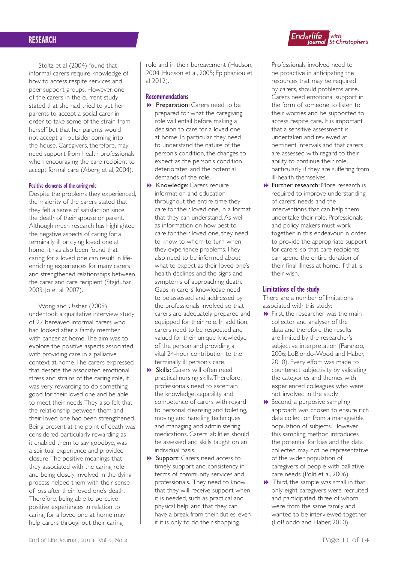



#### **Positive elements of the caring role**

Despite the problems they experienced, the majority of the carers stated that they felt a sense of satisfaction since the death of their spouse or parent. Although much research has highlighted the negative aspects of caring for a terminally ill or dying loved one at home, it has also been found that caring for a loved one can result in lifeenriching experiences for many carers and strengthened relationships between the carer and care recipient (Stajduhar, 2003; Jo et al, 2007).

Wong and Ussher (2009) undertook a qualitative interview study of 22 bereaved informal carers who had looked after a family member with cancer at home. The aim was to explore the positive aspects associated with providing care in a palliative context at home. The carers expressed that despite the associated emotional stress and strains of the caring role, it was very rewarding to do something good for their loved one and be able to meet their needs. They also felt that the relationship between them and their loved one had been strengthened. Being present at the point of death was considered particularly rewarding as it enabled them to say goodbye, was a spiritual experience and provided closure. The positive meanings that they associated with the caring role and being closely involved in the dying process helped them with their sense of loss after their loved one's death. Therefore, being able to perceive positive experiences in relation to caring for a loved one at home may help carers throughout their caring

role and in their bereavement (Hudson, 2004; Hudson et al, 2005; Epiphaniou et al 2012).

#### **Recommendations**

- **Preparation:** Carers need to be prepared for what the caregiving role will entail before making a decision to care for a loved one at home. In particular, they need to understand the nature of the person's condition, the changes to expect as the person's condition deteriorates, and the potential demands of the role.
- **B** Knowledge: Carers require information and education throughout the entire time they care for their loved one, in a format that they can understand. As well as information on how best to care for their loved one, they need to know to whom to turn when they experience problems. They also need to be informed about what to expect as their loved one's health declines and the signs and symptoms of approaching death. Gaps in carers' knowledge need to be assessed and addressed by the professionals involved so that carers are adequately prepared and equipped for their role. In addition, carers need to be respected and valued for their unique knowledge of the person and providing a vital 24-hour contribution to the terminally ill person's care.
- **B** Skills: Carers will often need practical nursing skills. Therefore, professionals need to ascertain the knowledge, capability and competence of carers with regard to personal cleansing and toileting, moving and handling techniques and managing and administering medications. Carers' abilities should be assessed and skills taught on an individual basis.
- **B** Support: Carers need access to timely support and consistency in terms of community services and professionals. They need to know that they will receive support when it is needed, such as practical and physical help, and that they can have a break from their duties, even if it is only to do their shopping.

Professionals involved need to be proactive in anticipating the resources that may be required by carers, should problems arise. Carers need emotional support in the form of someone to listen to their worries and be supported to access respite care. It is important that a sensitive assessment is undertaken and reviewed at pertinent intervals and that carers are assessed with regard to their ability to continue their role, particularly if they are suffering from ill-health themselves.

End<sub>of</sub>life

**f life**<br>journal st Christopher's

**B** Further research: More research is required to improve understanding of carers' needs and the interventions that can help them undertake their role. Professionals and policy makers must work together in this endeavour in order to provide the appropriate support for carers, so that care recipients can spend the entire duration of their final illness at home, if that is their wish.

## **Limitations of the study**

There are a number of limitations associated with this study:

- $\blacktriangleright$  First, the researcher was the main collector and analyser of the data and therefore the results are limited by the researcher's subjective interpretation (Parahoo, 2006; LoBiondo-Wood and Haber, 2010). Every effort was made to counteract subjectivity by validating the categories and themes with experienced colleagues who were not involved in the study.
- $\rightarrow$  Second, a purposive sampling approach was chosen to ensure rich data collection from a manageable population of subjects. However, this sampling method introduces the potential for bias and the data collected may not be representative of the wider population of caregivers of people with palliative care needs (Polit et al, 2006).
- $\rightarrow$  Third, the sample was small in that only eight caregivers were recruited and participated, three of whom were from the same family and wanted to be interviewed together (LoBiondo and Haber, 2010).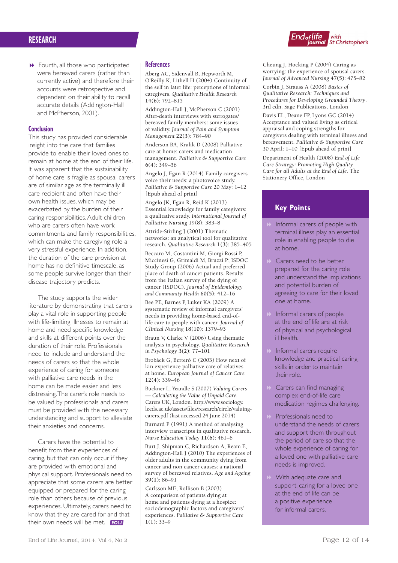

 $\rightarrow$  Fourth, all those who participated were bereaved carers (rather than currently active) and therefore their accounts were retrospective and dependent on their ability to recall accurate details (Addington-Hall and McPherson, 2001).

## **Conclusion**

This study has provided considerable insight into the care that families provide to enable their loved ones to remain at home at the end of their life. It was apparent that the sustainability of home care is fragile as spousal carers are of similar age as the terminally ill care recipient and often have their own health issues, which may be exacerbated by the burden of their caring responsibilities. Adult children who are carers often have work commitments and family responsibilities, which can make the caregiving role a very stressful experience. In addition, the duration of the care provision at home has no definitive timescale, as some people survive longer than their disease trajectory predicts.

The study supports the wider literature by demonstrating that carers play a vital role in supporting people with life-limiting illnesses to remain at home and need specific knowledge and skills at different points over the duration of their role. Professionals need to include and understand the needs of carers so that the whole experience of caring for someone with palliative care needs in the home can be made easier and less distressing. The carer's role needs to be valued by professionals and carers must be provided with the necessary understanding and support to alleviate their anxieties and concerns.

Carers have the potential to benefit from their experiences of caring, but that can only occur if they are provided with emotional and physical support. Professionals need to appreciate that some carers are better equipped or prepared for the caring role than others because of previous experiences. Ultimately, carers need to know that they are cared for and that their own needs will be met. **FOLL** 

## **References**

Aberg AC, Sidenvall B, Hepworth M, O'Reilly K, Lithell H (2004) Continuity of the self in later life: perceptions of informal caregivers. *Qualitative Health Research*  **14(6)**: 792–815

Addington-Hall J, McPherson C (2001) After-death interviews with surrogates/ bereaved family members: some issues of validity. *Journal of Pain and Symptom Management* **22(3)**: 784–90

Anderson BA, Kralik D (2008) Palliative care at home: carers and medication management. *Palliative & Supportive Care*  **6(4)**: 349–56

Angelo J, Egan R (2014) Family caregivers voice their needs: a photovoice study. *Palliative & Supportive Care* 20 May: 1–12 [Epub ahead of print]

Angelo JK, Egan R, Reid K (2013) Essential knowledge for family caregivers: a qualitative study. *International Journal of Palliative Nursing* 19(8): 383–8

Attride-Stirling J (2001) Thematic networks: an analytical tool for qualitative research. *Qualitative Research* **1(3)**: 385–405

Beccaro M, Costantini M, Giorgi Rossi P, Miccinesi G, Grimaldi M, Bruzzi P; ISDOC Study Group (2006) Actual and preferred place of death of cancer patients. Results from the Italian survey of the dying of cancer (ISDOC). *Journal of Epidemiology and Community Health* **60(5)**: 412–16

Bee PE, Barnes P, Luker KA (2009) A systematic review of informal caregivers' needs in providing home-based end-oflife care to people with cancer. *Journal of Clinical Nursing* **18(10)**: 1379–93

Braun V, Clarke V (2006) Using thematic analysis in psychology. *Qualitative Research in Psychology* **3(2)**: 77–101

Brobäck G, Berterö C (2003) How next of kin experience palliative care of relatives at home. *European Journal of Cancer Care*  **12(4)**: 339–46

Buckner L, Yeandle S (2007) *Valuing Carers — Calculating the Value of Unpaid Care*. Carers UK, London. http://www.sociology. leeds.ac.uk/assets/files/research/circle/valuingcarers.pdf (last accessed 24 June 2014)

Burnard P (1991) A method of analysing interview transcripts in qualitative research. *Nurse Education Today* **11(6)**: 461–6

Burt J, Shipman C, Richardson A, Ream E, Addington-Hall J (2010) The experiences of older adults in the community dying from cancer and non cancer causes: a national survey of bereaved relatives. *Age and Ageing* **39(1)**: 86–91

Carlsson ME, Rollison B (2003) A comparison of patients dying at home and patients dying at a hospice: sociodemographic factors and caregivers' experiences. *Palliative & Supportive Care*   $1(1)$ : 33–9

Cheung J, Hocking P (2004) Caring as worrying: the experience of spousal carers. *Journal of Advanced Nursing* **47(5)**: 475–82

Corbin J, Strauss A (2008) *Basics of Qualitative Research: Techniques and Procedures for Developing Grounded Theory*. 3rd edn. Sage Publications, London

Davis EL, Deane FP, Lyons GC (2014) Acceptance and valued living as critical appraisal and coping strengths for caregivers dealing with terminal illness and bereavement. *Palliative & Supportive Care* 30 April: 1–10 [Epub ahead of print]

Department of Health (2008) *End of Life Care Strategy: Promoting High Quality Care for all Adults at the End of Life*. The Stationery Office, London

# **Key Points**

- Informal carers of people with terminal illness play an essential role in enabling people to die at home.
- 8 Carers need to be better prepared for the caring role and understand the implications and potential burden of agreeing to care for their loved one at home.
- Informal carers of people at the end of life are at risk of physical and psychological ill health.
- **8 Informal carers require** knowledge and practical caring skills in order to maintain their role.
- Carers can find managing complex end-of-life care medication regimes challenging.
- Professionals need to understand the needs of carers and support them throughout the period of care so that the whole experience of caring for a loved one with palliative care needs is improved.
- **8 With adequate care and** support, caring for a loved one at the end of life can be a positive experience for informal carers.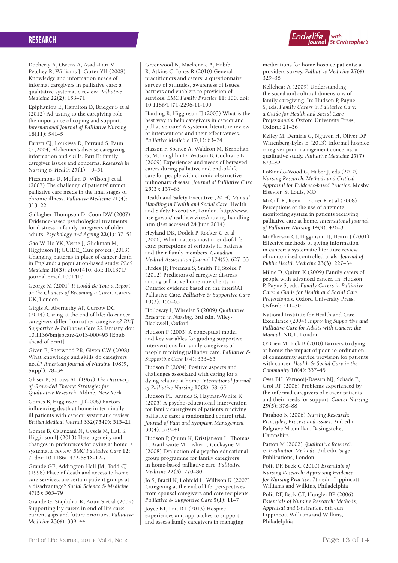

Docherty A, Owens A, Asadi-Lari M, Petchey R, Williams J, Carter YH (2008) Knowledge and information needs of informal caregivers in palliative care: a qualitative systematic review. *Palliative Medicine* **22(2)**: 153–71

Epiphaniou E, Hamilton D, Bridger S et al (2012) Adjusting to the caregiving role: the importance of coping and support. *International Journal of Palliative Nursing*  **18(11)**: 541–5

Farren CJ, Loukissa D, Perraud S, Paun O (2004) Alzheimer's disease caregiving information and skills. Part II: family caregiver issues and concerns. *Research in Nursing & Health* **27(1)**: 40–51

Fitzsimons D, Mullan D, Wilson J et al (2007) The challenge of patients' unmet palliative care needs in the final stages of chronic illness. *Palliative Medicine* **21(4)**: 313–22

Gallagher-Thompson D, Coon DW (2007) Evidence-based psychological treatments for distress in family caregivers of older adults. *Psychology and Ageing* **22(1)**: 37–51

Gao W, Ho YK, Verne J, Glickman M, Higginson IJ; GUIDE\_Care project (2013) Changing patterns in place of cancer death in England: a population-based study. *PLoS Medicine* **10(3)**: e1001410. doi: 10.1371/ journal.pmed.1001410

George M (2001) *It Could Be You: a Report on the Chances of Becoming a Carer*. Carers UK, London

Girgis A, Abernethy AP, Currow DC (2014) Caring at the end of life: do cancer caregivers differ from other caregivers? *BMJ Supportive & Palliative Care* 22 January. doi: 10.1136/bmjspcare-2013-000495 [Epub ahead of print]

Given B, Sherwood PR, Given CW (2008) What knowledge and skills do caregivers need? *American Journal of Nursing* **108(9, Suppl)**: 28–34

Glaser B, Strauss AL (1967) *The Discovery of Grounded Theory: Strategies for Qualitative Research*. Aldine, New York

Gomes B, Higginson IJ (2006) Factors influencing death at home in terminally ill patients with cancer: systematic review. *British Medical Journal* **332(7540)**: 515–21

Gomes B, Calanzani N, Gysels M, Hall S, Higginson IJ (2013) Heterogeneity and changes in preferences for dying at home: a systematic review. *BMC Palliative Care* **12**: 7. doi: 10.1186/1472-684X-12-7

Grande GE, Addington-Hall JM, Todd CJ (1998) Place of death and access to home care services: are certain patient groups at a disadvantage? *Social Science & Medicine*  **47(5)**: 565–79

Grande G, Stajduhar K, Aoun S et al (2009) Supporting lay carers in end of life care: current gaps and future priorities. *Palliative Medicine* **23(4)**: 339–44

Greenwood N, Mackenzie A, Habibi R, Atkins C, Jones R (2010) General practitioners and carers: a questionnaire survey of attitudes, awareness of issues, barriers and enablers to provision of services. *BMC Family Practice* **11**: 100. doi: 10.1186/1471-2296-11-100

Harding R, Higginson IJ (2003) What is the best way to help caregivers in cancer and palliative care? A systemic literature review of interventions and their effectiveness. *Palliative Medicine* **17(1)**: 63–74

Hasson F, Spence A, Waldron M, Kernohan G, McLaughlin D, Watson B, Cochrane B (2009) Experiences and needs of bereaved carers during palliative and end-of-life care for people with chronic obstructive pulmonary disease. *Journal of Palliative Care* **25(3)**: 157–63

Health and Safety Executive (2014) *Manual Handling in Health and Social Care*. Health and Safety Executive, London. http://www. hse.gov.uk/healthservices/moving-handling. htm (last accessed 24 June 2014)

Heyland DK, Dodek P, Rocker G et al (2006) What matters most in end-of-life care: perceptions of seriously ill patients and their family members. *Canadian Medical Association Journal* **174(5)**: 627–33

Hirdes JP, Freeman S, Smith TF, Stolee P (2012) Predictors of caregiver distress among palliative home care clients in Ontario: evidence based on the interRAI Palliative Care. *Palliative & Supportive Care*  **10(3)**: 155–63

Holloway I, Wheeler S (2009) *Qualitative Research in Nursing*. 3rd edn. Wiley-Blackwell, Oxford

Hudson P (2003) A conceptual model and key variables for guiding supportive interventions for family caregivers of people receiving palliative care. *Palliative & Supportive Care* **1(4)**: 353–65

Hudson P (2004) Positive aspects and challenges associated with caring for a dying relative at home. *International Journal of Palliative Nursing* **10(2)**: 58–65

Hudson PL, Aranda S, Hayman-White K (2005) A psycho-educational intervention for family carergivers of patients receiving palliative care: a randomized control trial. *Journal of Pain and Symptom Management*  **30(4)**: 329–41

Hudson P, Quinn K, Kristjanson L, Thomas T, Braithwaite M, Fisher J, Cockayne M (2008) Evaluation of a psycho-educational group programme for family caregivers in home-based palliative care. *Palliative Medicine* **22(3)**: 270–80

Jo S, Brazil K, Lohfeld L, Willison K (2007) Caregiving at the end of life: perspectives from spousal caregivers and care recipients. *Palliative & Supportive Care* **5(1)**: 11–7

Joyce BT, Lau DT (2013) Hospice experiences and approaches to support and assess family caregivers in managing medications for home hospice patients: a providers survey. *Palliative Medicine* **27(4)**:  $329 - 38$ 

Kellehear A (2009) Understanding the social and cultural dimensions of family caregiving. In: Hudson P, Payne S, eds. *Family Carers in Palliative Care: a Guide for Health and Social Care Professionals*. Oxford University Press,  $Oxford: 21–36$ 

Kelley M, Demiris G, Nguyen H, Oliver DP, Wittenberg-Lyles E (2013) Informal hospice caregiver pain management concerns: a qualitative study. *Palliative Medicine* **27(7)**: 673–82

LoBiondo-Wood G, Haber J, eds (2010) *Nursing Research: Methods and Critical Appraisal for Evidence-based Practice*. Mosby Elsevier, St Louis, MO

McCall K, Keen J, Farrer K et al (2008) Perceptions of the use of a remote monitoring system in patients receiving palliative care at home. *International Journal of Palliative Nursing* **14(9)**: 426–31

McPherson CJ, Higginson IJ, Hearn J (2001) Effective methods of giving information in cancer: a systematic literature review of randomized controlled trials. *Journal of Public Health Medicine* **23(3)**: 227–34

Milne D, Quinn K (2009) Family carers of people with advanced cancer. In: Hudson P, Payne S, eds. *Family Carers in Palliative Care: a Guide for Health and Social Care Professionals*. Oxford University Press, Oxford: 211–30

National Institute for Health and Care Excellence (2004) *Improving Supportive and Palliative Care for Adults with Cancer: the Manual*. NICE, London

O'Brien M, Jack B (2010) Barriers to dying at home: the impact of poor co-ordination of community service provision for patients with cancer. *Health & Social Care in the Community* **18(4)**: 337–45

Osse BH, Vernooij-Dassen MJ, Schadé E, Grol RP (2006) Problems experienced by the informal caregivers of cancer patients and their needs for support. *Cancer Nursing*  **29(5)**: 378–88

Parahoo K (2006) *Nursing Research: Principles, Process and Issues*. 2nd edn. Palgrave Macmillan, Basingstoke, Hampshire

Patton M (2002) *Qualitative Research & Evaluation Methods*. 3rd edn. Sage Publications, London

Polit DF, Beck C (2010) *Essentials of Nursing Research: Appraising Evidence for Nursing Practice*. 7th edn. Lippincott Williams and Wilkins, Philadelphia

Polit DF, Beck CT, Hungler BP (2006) *Essentials of Nursing Research: Methods, Appraisal and Utilization*. 6th edn. Lippincott Williams and Wilkins, Philadelphia